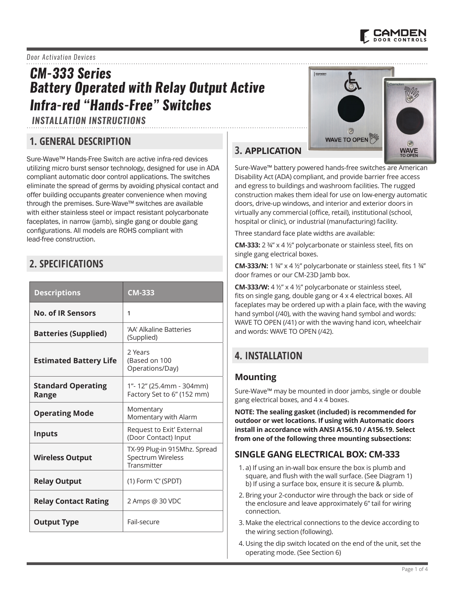

### *Door Activation Devices*

# *CM-333 Series Battery Operated with Relay Output Active Infra-red "Hands-Free" Switches*

*INSTALLATION INSTRUCTIONS*

## **1. GENERAL DESCRIPTION**

Sure-Wave™ Hands-Free Switch are active infra-red devices utilizing micro burst sensor technology, designed for use in ADA compliant automatic door control applications. The switches eliminate the spread of germs by avoiding physical contact and offer building occupants greater convenience when moving through the premises. Sure-Wave™ switches are available with either stainless steel or impact resistant polycarbonate faceplates, in narrow (jamb), single gang or double gang configurations. All models are ROHS compliant with lead-free construction.

## **2. SPECIFICATIONS**

| <b>Descriptions</b>                | <b>CM-333</b>                                                    |  |
|------------------------------------|------------------------------------------------------------------|--|
| <b>No. of IR Sensors</b>           | 1                                                                |  |
| <b>Batteries (Supplied)</b>        | 'AA' Alkaline Batteries<br>(Supplied)                            |  |
| <b>Estimated Battery Life</b>      | 2 Years<br>(Based on 100<br>Operations/Day)                      |  |
| <b>Standard Operating</b><br>Range | 1"-12" (25.4mm - 304mm)<br>Factory Set to 6" (152 mm)            |  |
| <b>Operating Mode</b>              | Momentary<br>Momentary with Alarm                                |  |
| <b>Inputs</b>                      | Request to Exit' External<br>(Door Contact) Input                |  |
| <b>Wireless Output</b>             | TX-99 Plug-in 915Mhz. Spread<br>Spectrum Wireless<br>Transmitter |  |
| <b>Relay Output</b>                | (1) Form 'C' (SPDT)                                              |  |
| <b>Relay Contact Rating</b>        | 2 Amps @ 30 VDC                                                  |  |
| <b>Output Type</b>                 | Fail-secure                                                      |  |



## **3. APPLICATION**

Sure-Wave™ battery powered hands-free switches are American Disability Act (ADA) compliant, and provide barrier free access and egress to buildings and washroom facilities. The rugged construction makes them ideal for use on low-energy automatic doors, drive-up windows, and interior and exterior doors in virtually any commercial (office, retail), institutional (school, hospital or clinic), or industrial (manufacturing) facility.

Three standard face plate widths are available:

**CM-333:** 2 ¾" x 4 ½" polycarbonate or stainless steel, fits on single gang electrical boxes.

**CM-333/N:** 1 ¾" x 4 ½" polycarbonate or stainless steel, fits 1 ¾" door frames or our CM-23D Jamb box.

**CM-333/W:** 4 ½" x 4 ½" polycarbonate or stainless steel, fits on single gang, double gang or 4 x 4 electrical boxes. All faceplates may be ordered up with a plain face, with the waving hand symbol (/40), with the waving hand symbol and words: WAVE TO OPEN (/41) or with the waving hand icon, wheelchair and words: WAVE TO OPEN (/42).

## **4. INSTALLATION**

### **Mounting**

Sure-Wave™ may be mounted in door jambs, single or double gang electrical boxes, and 4 x 4 boxes.

**NOTE: The sealing gasket (included) is recommended for outdoor or wet locations. If using with Automatic doors install in accordance with ANSI A156.10 / A156.19. Select from one of the following three mounting subsections:**

### **SINGLE GANG ELECTRICAL BOX: CM-333**

- 1. a) If using an in-wall box ensure the box is plumb and square, and flush with the wall surface. (See Diagram 1) b) If using a surface box, ensure it is secure & plumb.
- 2. Bring your 2-conductor wire through the back or side of the enclosure and leave approximately 6" tail for wiring connection.
- 3. Make the electrical connections to the device according to the wiring section (following).
- 4. Using the dip switch located on the end of the unit, set the operating mode. (See Section 6)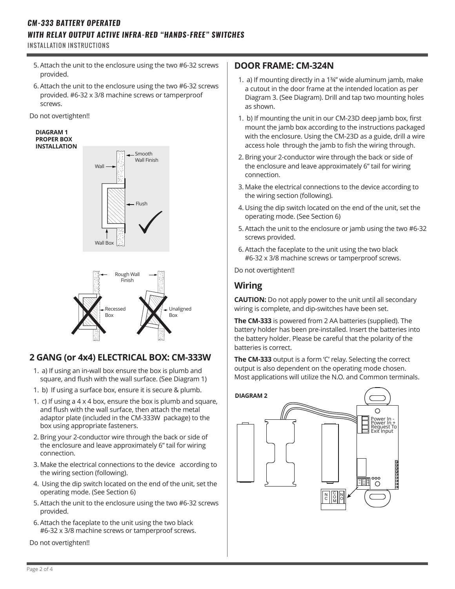## *CM-333 BATTERY OPERATED WITH RELAY OUTPUT ACTIVE INFRA-RED "HANDS-FREE" SWITCHES*

INSTALLATION INSTRUCTIONS

- 5. Attach the unit to the enclosure using the two #6-32 screws provided.
- 6. Attach the unit to the enclosure using the two #6-32 screws provided. #6-32 x 3/8 machine screws or tamperproof screws.

Do not overtighten!!

#### **DIAGRAM 1 PROPER BOX INSTALLATION**





## **2 GANG (or 4x4) ELECTRICAL BOX: CM-333W**

- 1. a) If using an in-wall box ensure the box is plumb and square, and flush with the wall surface. (See Diagram 1)
- 1. b) If using a surface box, ensure it is secure & plumb.
- 1. c) If using a 4 x 4 box, ensure the box is plumb and square, and flush with the wall surface, then attach the metal adaptor plate (included in the CM-333W package) to the box using appropriate fasteners.
- 2. Bring your 2-conductor wire through the back or side of the enclosure and leave approximately 6" tail for wiring connection.
- 3. Make the electrical connections to the device according to the wiring section (following).
- 4. Using the dip switch located on the end of the unit, set the operating mode. (See Section 6)
- 5. Attach the unit to the enclosure using the two #6-32 screws provided.
- 6. Attach the faceplate to the unit using the two black #6-32 x 3/8 machine screws or tamperproof screws.

Do not overtighten!!

## **DOOR FRAME: CM-324N**

- 1. a) If mounting directly in a 1¾" wide aluminum jamb, make a cutout in the door frame at the intended location as per Diagram 3. (See Diagram). Drill and tap two mounting holes as shown.
- 1. b) If mounting the unit in our CM-23D deep jamb box, first mount the jamb box according to the instructions packaged with the enclosure. Using the CM-23D as a guide, drill a wire access hole through the jamb to fish the wiring through.
- 2. Bring your 2-conductor wire through the back or side of the enclosure and leave approximately 6" tail for wiring connection.
- 3. Make the electrical connections to the device according to the wiring section (following).
- 4. Using the dip switch located on the end of the unit, set the operating mode. (See Section 6)
- 5. Attach the unit to the enclosure or jamb using the two #6-32 screws provided.
- 6. Attach the faceplate to the unit using the two black #6-32 x 3/8 machine screws or tamperproof screws.

Do not overtighten!!

## **Wiring**

**CAUTION:** Do not apply power to the unit until all secondary wiring is complete, and dip-switches have been set.

**The CM-333** is powered from 2 AA batteries (supplied). The battery holder has been pre-installed. Insert the batteries into the battery holder. Please be careful that the polarity of the batteries is correct.

**The CM-333** output is a form 'C' relay. Selecting the correct output is also dependent on the operating mode chosen. Most applications will utilize the N.O. and Common terminals.

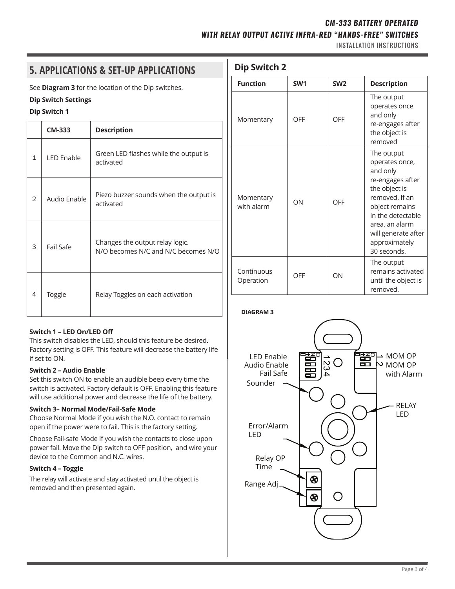### *CM-333 BATTERY OPERATED*

### *WITH RELAY OUTPUT ACTIVE INFRA-RED "HANDS-FREE" SWITCHES*

INSTALLATION INSTRUCTIONS

# **Dip Switch 2 5. APPLICATIONS & SET-UP APPLICATIONS**

See **Diagram 3** for the location of the Dip switches.

### **Dip Switch Settings**

### **Dip Switch 1**

|                | <b>CM-333</b>     | <b>Description</b>                                                     |  |
|----------------|-------------------|------------------------------------------------------------------------|--|
| 1              | <b>LED Enable</b> | Green LED flashes while the output is<br>activated                     |  |
| $\overline{2}$ | Audio Fnable      | Piezo buzzer sounds when the output is<br>activated                    |  |
| 3              | Fail Safe         | Changes the output relay logic.<br>N/O becomes N/C and N/C becomes N/O |  |
| 4              | Toggle            | Relay Toggles on each activation                                       |  |

### **Switch 1 – LED On/LED Off**

This switch disables the LED, should this feature be desired. Factory setting is OFF. This feature will decrease the battery life if set to ON.

### **Switch 2 – Audio Enable**

Set this switch ON to enable an audible beep every time the switch is activated. Factory default is OFF. Enabling this feature will use additional power and decrease the life of the battery.

### **Switch 3– Normal Mode/Fail-Safe Mode**

Choose Normal Mode if you wish the N.O. contact to remain open if the power were to fail. This is the factory setting.

Choose Fail-safe Mode if you wish the contacts to close upon power fail. Move the Dip switch to OFF position, and wire your device to the Common and N.C. wires.

### **Switch 4 – Toggle**

The relay will activate and stay activated until the object is removed and then presented again.

| <b>Function</b>         | SW <sub>1</sub> | SW <sub>2</sub> | <b>Description</b>                                                                                                                                                                                              |
|-------------------------|-----------------|-----------------|-----------------------------------------------------------------------------------------------------------------------------------------------------------------------------------------------------------------|
| Momentary               | OFF             | OFF             | The output<br>operates once<br>and only<br>re-engages after<br>the object is<br>removed                                                                                                                         |
| Momentary<br>with alarm | ON              | OFF             | The output<br>operates once,<br>and only<br>re-engages after<br>the object is<br>removed. If an<br>object remains<br>in the detectable<br>area, an alarm<br>will generate after<br>approximately<br>30 seconds. |
| Continuous<br>Operation | OFF             | ON              | The output<br>remains activated<br>until the object is<br>removed                                                                                                                                               |

### **DIAGRAM 3**



Page 3 of 4